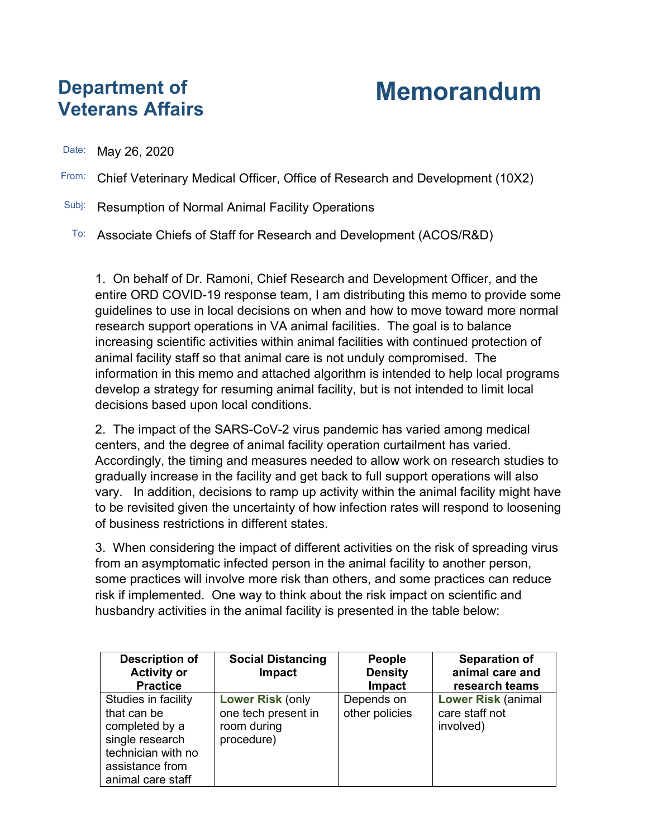## **Department of Veterans Affairs**

## **Memorandum**

Date: May 26, 2020

- From: Chief Veterinary Medical Officer, Office of Research and Development (10X2)
- Subj: Resumption of Normal Animal Facility Operations
	- To: Associate Chiefs of Staff for Research and Development (ACOS/R&D)

1. On behalf of Dr. Ramoni, Chief Research and Development Officer, and the entire ORD COVID-19 response team, I am distributing this memo to provide some guidelines to use in local decisions on when and how to move toward more normal research support operations in VA animal facilities. The goal is to balance increasing scientific activities within animal facilities with continued protection of animal facility staff so that animal care is not unduly compromised. The information in this memo and attached algorithm is intended to help local programs develop a strategy for resuming animal facility, but is not intended to limit local decisions based upon local conditions.

2. The impact of the SARS-CoV-2 virus pandemic has varied among medical centers, and the degree of animal facility operation curtailment has varied. Accordingly, the timing and measures needed to allow work on research studies to gradually increase in the facility and get back to full support operations will also vary. In addition, decisions to ramp up activity within the animal facility might have to be revisited given the uncertainty of how infection rates will respond to loosening of business restrictions in different states.

3. When considering the impact of different activities on the risk of spreading virus from an asymptomatic infected person in the animal facility to another person, some practices will involve more risk than others, and some practices can reduce risk if implemented. One way to think about the risk impact on scientific and husbandry activities in the animal facility is presented in the table below:

| <b>Description of</b><br><b>Activity or</b><br><b>Practice</b>                                                                        | <b>Social Distancing</b><br>Impact                                          | <b>People</b><br><b>Density</b><br>Impact | <b>Separation of</b><br>animal care and<br>research teams |
|---------------------------------------------------------------------------------------------------------------------------------------|-----------------------------------------------------------------------------|-------------------------------------------|-----------------------------------------------------------|
| Studies in facility<br>that can be<br>completed by a<br>single research<br>technician with no<br>assistance from<br>animal care staff | <b>Lower Risk (only</b><br>one tech present in<br>room during<br>procedure) | Depends on<br>other policies              | <b>Lower Risk (animal</b><br>care staff not<br>involved)  |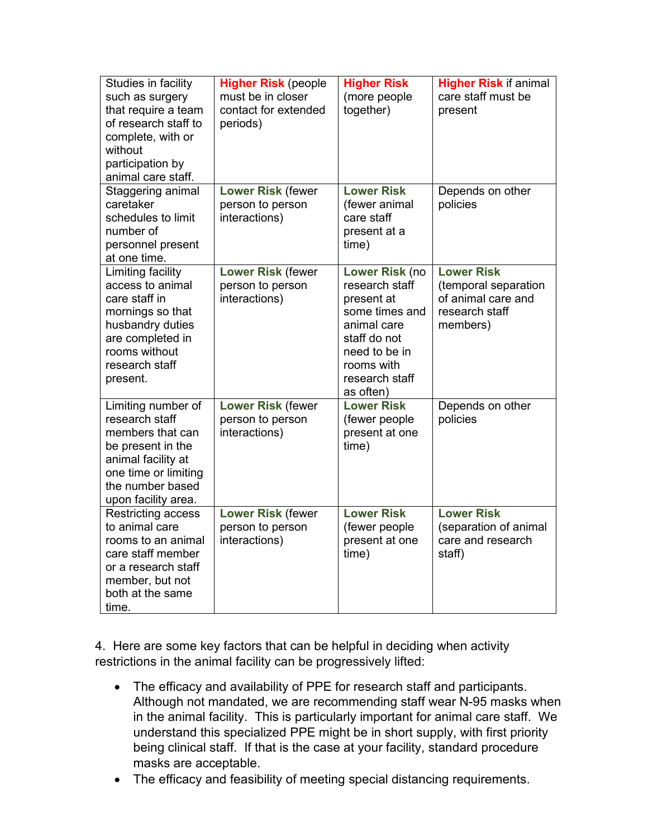| Studies in facility<br>such as surgery<br>that require a team<br>of research staff to<br>complete, with or<br>without<br>participation by<br>animal care staff.        | <b>Higher Risk (people</b><br>must be in closer<br>contact for extended<br>periods) | <b>Higher Risk</b><br>(more people<br>together)                                                                                                               | <b>Higher Risk if animal</b><br>care staff must be<br>present                                 |
|------------------------------------------------------------------------------------------------------------------------------------------------------------------------|-------------------------------------------------------------------------------------|---------------------------------------------------------------------------------------------------------------------------------------------------------------|-----------------------------------------------------------------------------------------------|
| Staggering animal<br>caretaker<br>schedules to limit<br>number of<br>personnel present<br>at one time.                                                                 | <b>Lower Risk (fewer</b><br>person to person<br>interactions)                       | <b>Lower Risk</b><br>(fewer animal<br>care staff<br>present at a<br>time)                                                                                     | Depends on other<br>policies                                                                  |
| Limiting facility<br>access to animal<br>care staff in<br>mornings so that<br>husbandry duties<br>are completed in<br>rooms without<br>research staff<br>present.      | <b>Lower Risk (fewer</b><br>person to person<br>interactions)                       | Lower Risk (no<br>research staff<br>present at<br>some times and<br>animal care<br>staff do not<br>need to be in<br>rooms with<br>research staff<br>as often) | <b>Lower Risk</b><br>(temporal separation<br>of animal care and<br>research staff<br>members) |
| Limiting number of<br>research staff<br>members that can<br>be present in the<br>animal facility at<br>one time or limiting<br>the number based<br>upon facility area. | <b>Lower Risk (fewer</b><br>person to person<br>interactions)                       | <b>Lower Risk</b><br>(fewer people<br>present at one<br>time)                                                                                                 | Depends on other<br>policies                                                                  |
| <b>Restricting access</b><br>to animal care<br>rooms to an animal<br>care staff member<br>or a research staff<br>member, but not<br>both at the same<br>time.          | <b>Lower Risk (fewer</b><br>person to person<br>interactions)                       | <b>Lower Risk</b><br>(fewer people<br>present at one<br>time)                                                                                                 | <b>Lower Risk</b><br>(separation of animal<br>care and research<br>staff)                     |

4. Here are some key factors that can be helpful in deciding when activity restrictions in the animal facility can be progressively lifted:

- The efficacy and availability of PPE for research staff and participants. Although not mandated, we are recommending staff wear N-95 masks when in the animal facility. This is particularly important for animal care staff. We understand this specialized PPE might be in short supply, with first priority being clinical staff. If that is the case at your facility, standard procedure masks are acceptable.
- The efficacy and feasibility of meeting special distancing requirements.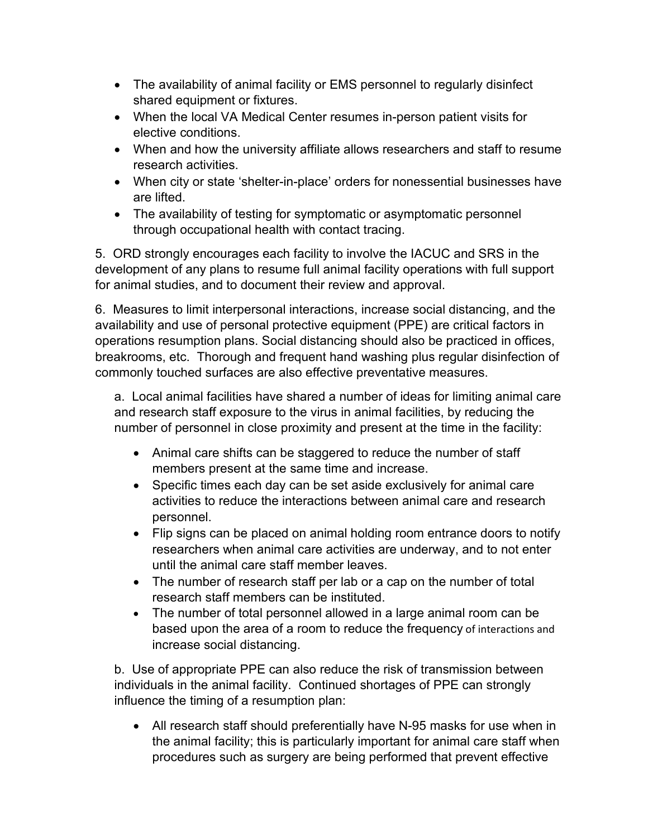- The availability of animal facility or EMS personnel to regularly disinfect shared equipment or fixtures.
- When the local VA Medical Center resumes in-person patient visits for elective conditions.
- When and how the university affiliate allows researchers and staff to resume research activities.
- When city or state 'shelter-in-place' orders for nonessential businesses have are lifted.
- The availability of testing for symptomatic or asymptomatic personnel through occupational health with contact tracing.

5. ORD strongly encourages each facility to involve the IACUC and SRS in the development of any plans to resume full animal facility operations with full support for animal studies, and to document their review and approval.

6. Measures to limit interpersonal interactions, increase social distancing, and the availability and use of personal protective equipment (PPE) are critical factors in operations resumption plans. Social distancing should also be practiced in offices, breakrooms, etc. Thorough and frequent hand washing plus regular disinfection of commonly touched surfaces are also effective preventative measures.

a. Local animal facilities have shared a number of ideas for limiting animal care and research staff exposure to the virus in animal facilities, by reducing the number of personnel in close proximity and present at the time in the facility:

- Animal care shifts can be staggered to reduce the number of staff members present at the same time and increase.
- Specific times each day can be set aside exclusively for animal care activities to reduce the interactions between animal care and research personnel.
- Flip signs can be placed on animal holding room entrance doors to notify researchers when animal care activities are underway, and to not enter until the animal care staff member leaves.
- The number of research staff per lab or a cap on the number of total research staff members can be instituted.
- The number of total personnel allowed in a large animal room can be based upon the area of a room to reduce the frequency of interactions and increase social distancing.

b. Use of appropriate PPE can also reduce the risk of transmission between individuals in the animal facility. Continued shortages of PPE can strongly influence the timing of a resumption plan:

• All research staff should preferentially have N-95 masks for use when in the animal facility; this is particularly important for animal care staff when procedures such as surgery are being performed that prevent effective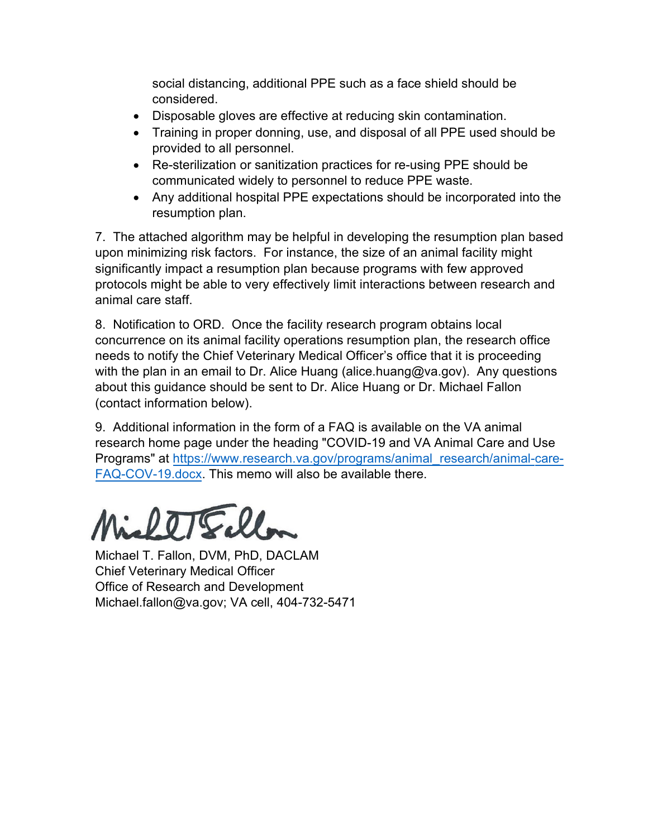social distancing, additional PPE such as a face shield should be considered.

- Disposable gloves are effective at reducing skin contamination.
- Training in proper donning, use, and disposal of all PPE used should be provided to all personnel.
- Re-sterilization or sanitization practices for re-using PPE should be communicated widely to personnel to reduce PPE waste.
- Any additional hospital PPE expectations should be incorporated into the resumption plan.

7. The attached algorithm may be helpful in developing the resumption plan based upon minimizing risk factors. For instance, the size of an animal facility might significantly impact a resumption plan because programs with few approved protocols might be able to very effectively limit interactions between research and animal care staff.

8. Notification to ORD. Once the facility research program obtains local concurrence on its animal facility operations resumption plan, the research office needs to notify the Chief Veterinary Medical Officer's office that it is proceeding with the plan in an email to Dr. Alice Huang (alice.huang@va.gov). Any questions about this guidance should be sent to Dr. Alice Huang or Dr. Michael Fallon (contact information below).

9. Additional i[nformation in the form of a FAQ is](https://www.research.va.gov/programs/animal_research/animal-care-FAQ-COV-19.docx) available on the VA animal [research home page und](https://www.research.va.gov/programs/animal_research/animal-care-FAQ-COV-19.docx)er the heading "COVID-19 and VA Animal Care and Use Programs" at https://www.research.va.gov/programs/animal research/animal-care-FAQ-COV-19.docx. This memo will also be available there.

Michael T. Fallon, DVM, PhD, DACLAM Chief Veterinary Medical Officer Office of Research and Development Michael.fallon@va.gov; VA cell, 404-732-5471